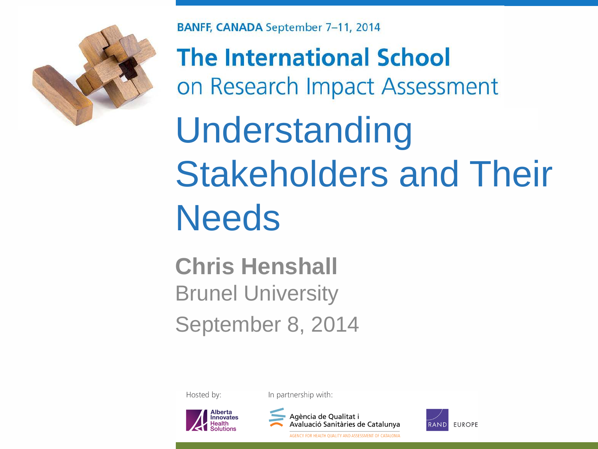

**BANFF, CANADA September 7-11, 2014** 

**The International School** on Research Impact Assessment

Understanding Stakeholders and Their **Needs** 

**Chris Henshall**  Brunel University September 8, 2014

Hosted by:

In partnership with:





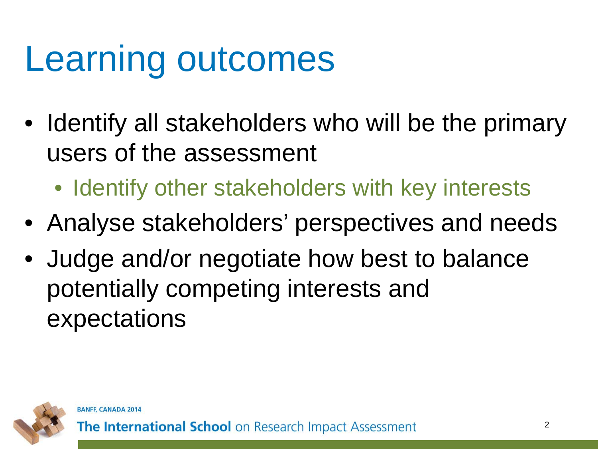#### Learning outcomes

- Identify all stakeholders who will be the primary users of the assessment
	- Identify other stakeholders with key interests
- Analyse stakeholders' perspectives and needs
- Judge and/or negotiate how best to balance potentially competing interests and expectations

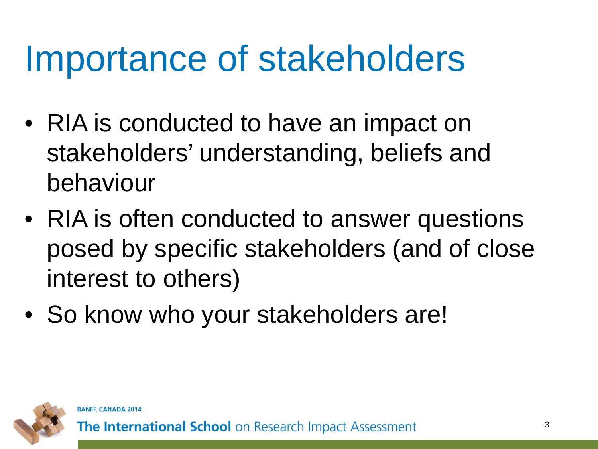#### Importance of stakeholders

- RIA is conducted to have an impact on stakeholders' understanding, beliefs and behaviour
- RIA is often conducted to answer questions posed by specific stakeholders (and of close interest to others)
- So know who your stakeholders are!



**BANFF, CANADA 2014**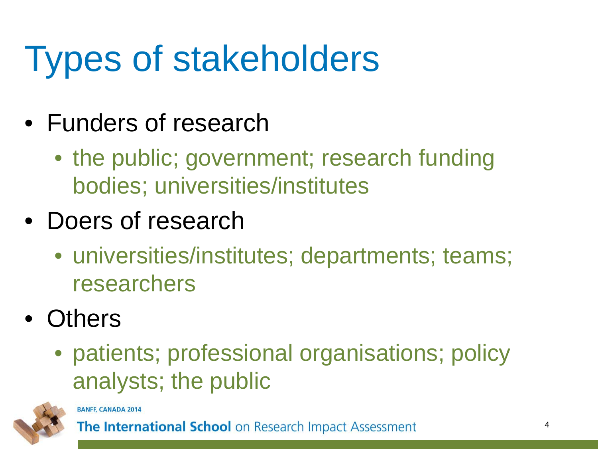## Types of stakeholders

- Funders of research
	- the public; government; research funding bodies; universities/institutes
- Doers of research
	- universities/institutes; departments; teams; researchers
- Others
	- patients; professional organisations; policy analysts; the public



**BANFF, CANADA 2014**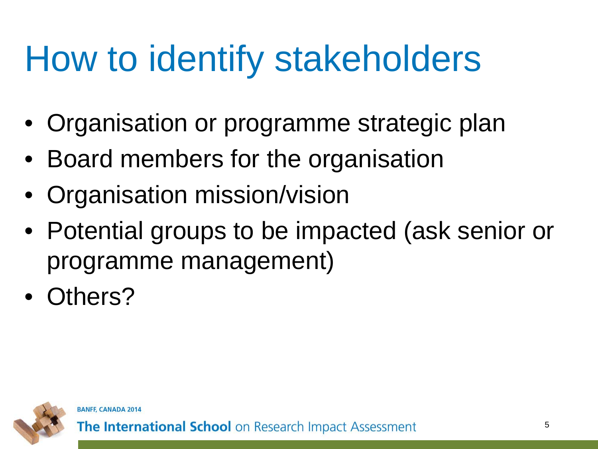### How to identify stakeholders

- Organisation or programme strategic plan
- Board members for the organisation
- Organisation mission/vision
- Potential groups to be impacted (ask senior or programme management)
- Others?

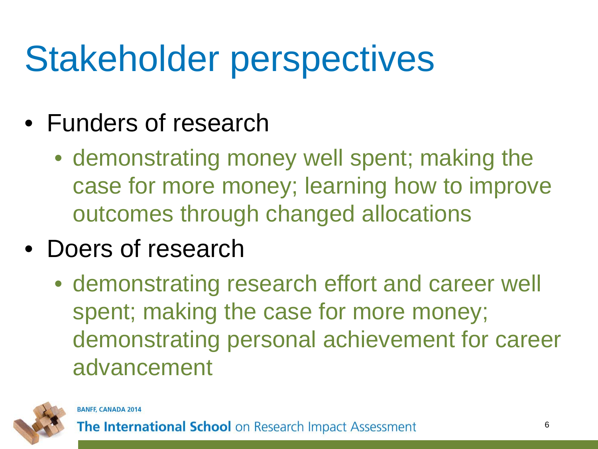### Stakeholder perspectives

- Funders of research
	- demonstrating money well spent; making the case for more money; learning how to improve outcomes through changed allocations
- Doers of research
	- demonstrating research effort and career well spent; making the case for more money; demonstrating personal achievement for career advancement

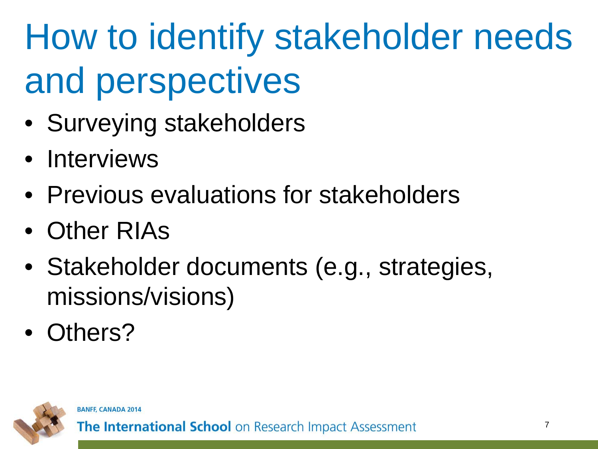# How to identify stakeholder needs and perspectives

- Surveying stakeholders
- Interviews
- Previous evaluations for stakeholders
- Other RIAs
- Stakeholder documents (e.g., strategies, missions/visions)
- Others?



**BANFF, CANADA 2014**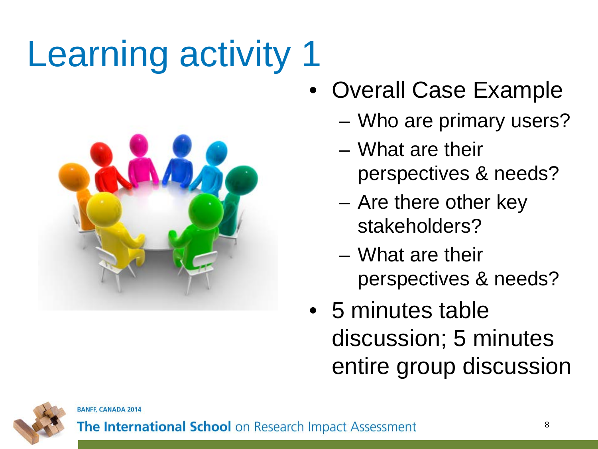# Learning activity 1



- Overall Case Example
	- Who are primary users?
	- What are their perspectives & needs?
	- Are there other key stakeholders?
	- What are their perspectives & needs?
- 5 minutes table discussion; 5 minutes entire group discussion



**BANFF, CANADA 2014**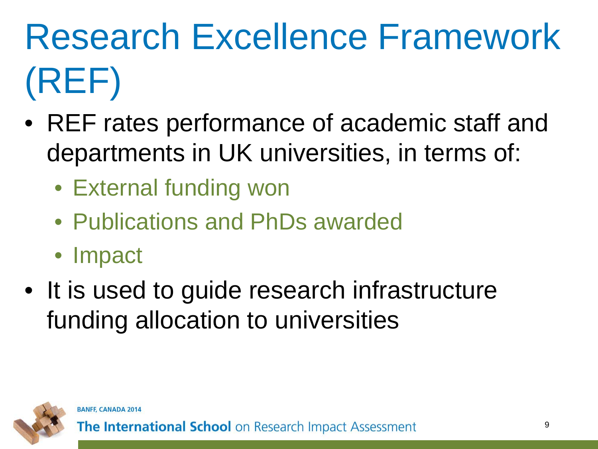# Research Excellence Framework (REF)

- REF rates performance of academic staff and departments in UK universities, in terms of:
	- External funding won
	- Publications and PhDs awarded
	- Impact
- It is used to guide research infrastructure funding allocation to universities

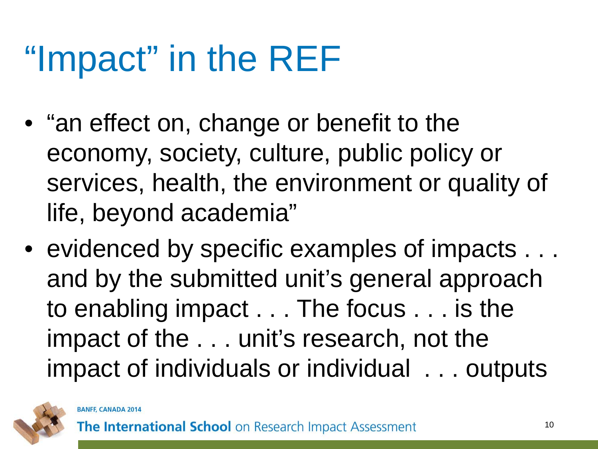## "Impact" in the REF

- "an effect on, change or benefit to the economy, society, culture, public policy or services, health, the environment or quality of life, beyond academia"
- evidenced by specific examples of impacts  $\dots$ and by the submitted unit's general approach to enabling impact . . . The focus . . . is the impact of the . . . unit's research, not the impact of individuals or individual . . . outputs

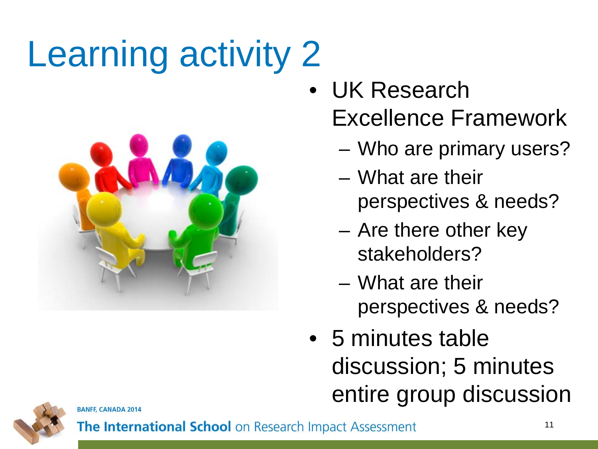# Learning activity 2



- UK Research Excellence Framework
	- Who are primary users?
	- What are their perspectives & needs?
	- Are there other key stakeholders?
	- What are their perspectives & needs?
- 5 minutes table discussion; 5 minutes entire group discussion



**BANFF, CANADA 2014**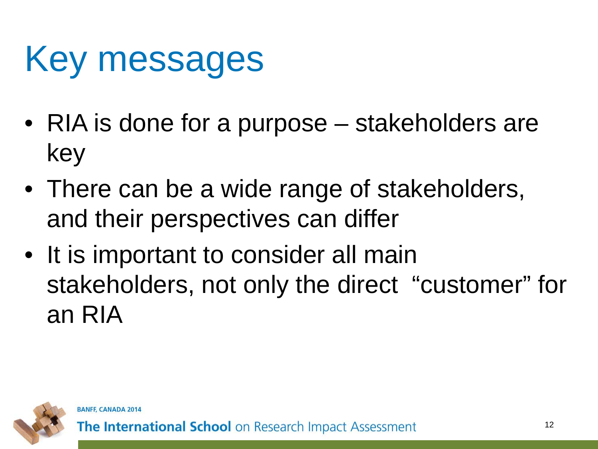### Key messages

- RIA is done for a purpose stakeholders are key
- There can be a wide range of stakeholders, and their perspectives can differ
- It is important to consider all main stakeholders, not only the direct "customer" for an RIA

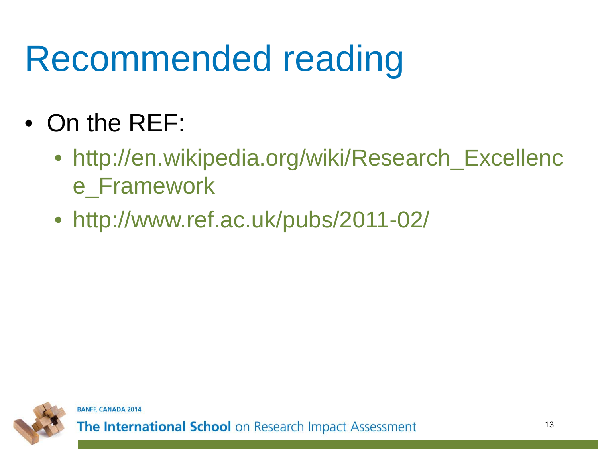### Recommended reading

- On the REF:
	- http://en.wikipedia.org/wiki/Research\_Excellenc e\_Framework
	- http://www.ref.ac.uk/pubs/2011-02/